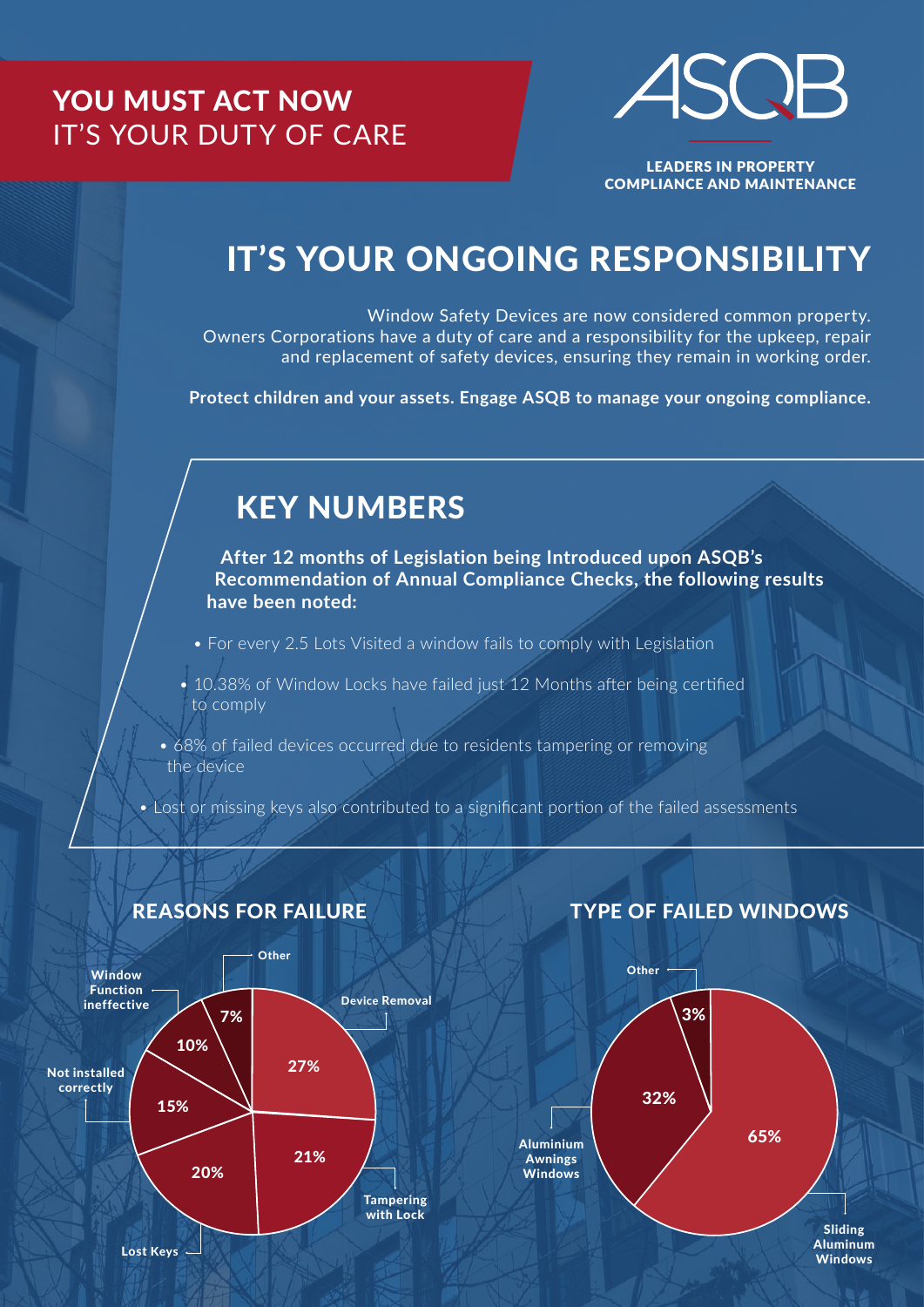## YOU MUST ACT NOW IT'S YOUR DUTY OF CARE



LEADERS IN PROPERTY COMPLIANCE AND MAINTENANCE

# IT'S YOUR ONGOING RESPONSIBILITY

Window Safety Devices are now considered common property. Owners Corporations have a duty of care and a responsibility for the upkeep, repair and replacement of safety devices, ensuring they remain in working order.

**Protect children and your assets. Engage ASQB to manage your ongoing compliance.**

## KEY NUMBERS

**After 12 months of Legislation being Introduced upon ASQB's Recommendation of Annual Compliance Checks, the following results have been noted:**

- For every 2.5 Lots Visited a window fails to comply with Legislation
- 10.38% of Window Locks have failed just 12 Months after being certified to comply
- 68% of failed devices occurred due to residents tampering or removing the device
- Lost or missing keys also contributed to a significant portion of the failed assessments



#### REASONS FOR FAILURE

## TYPE OF FAILED WINDOWS